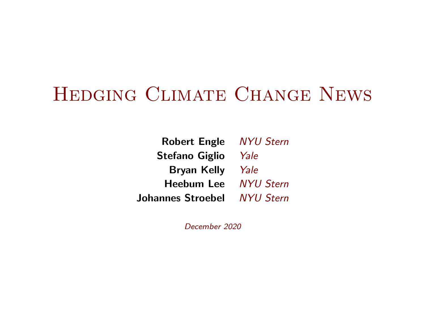# Hedging Climate Change News

Robert Engle NYU Stern Stefano Giglio Yale Bryan Kelly Yale Heebum Lee NYU Stern Johannes Stroebel NYU Stern

December 2020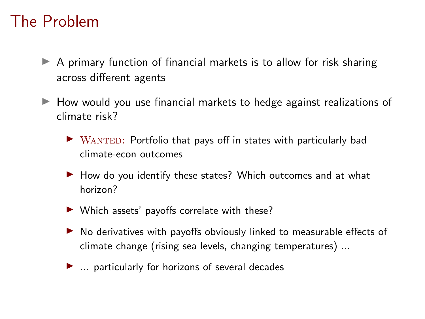#### The Problem

- $\triangleright$  A primary function of financial markets is to allow for risk sharing across different agents
- $\blacktriangleright$  How would you use financial markets to hedge against realizations of climate risk?
	- $\triangleright$  WANTED: Portfolio that pays off in states with particularly bad climate-econ outcomes
	- $\blacktriangleright$  How do you identify these states? Which outcomes and at what horizon?
	- $\blacktriangleright$  Which assets' payoffs correlate with these?
	- $\triangleright$  No derivatives with payoffs obviously linked to measurable effects of climate change (rising sea levels, changing temperatures) ...
	- $\blacktriangleright$  ... particularly for horizons of several decades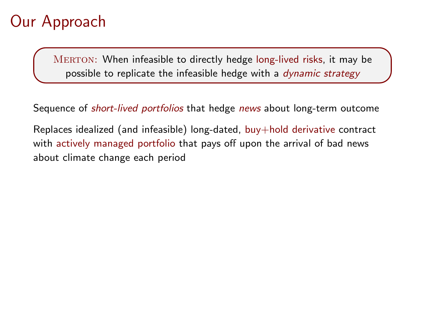# Our Approach

MERTON: When infeasible to directly hedge long-lived risks, it may be possible to replicate the infeasible hedge with a *dynamic strategy* 

Sequence of short-lived portfolios that hedge news about long-term outcome

Replaces idealized (and infeasible) long-dated, buy+hold derivative contract with actively managed portfolio that pays off upon the arrival of bad news about climate change each period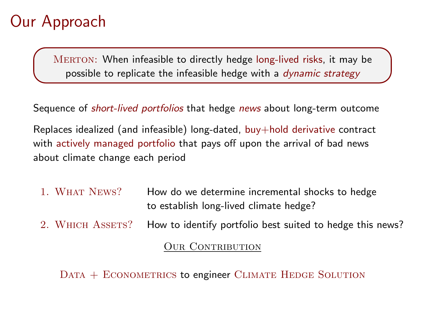# Our Approach

MERTON: When infeasible to directly hedge long-lived risks, it may be possible to replicate the infeasible hedge with a dynamic strategy

Sequence of *short-lived portfolios* that hedge *news* about long-term outcome

Replaces idealized (and infeasible) long-dated, buy+hold derivative contract with actively managed portfolio that pays off upon the arrival of bad news about climate change each period

- 1. WHAT NEWS? How do we determine incremental shocks to hedge to establish long-lived climate hedge?
- 2. WHICH ASSETS? How to identify portfolio best suited to hedge this news?

**OUR CONTRIBUTION** 

DATA + ECONOMETRICS to engineer CLIMATE HEDGE SOLUTION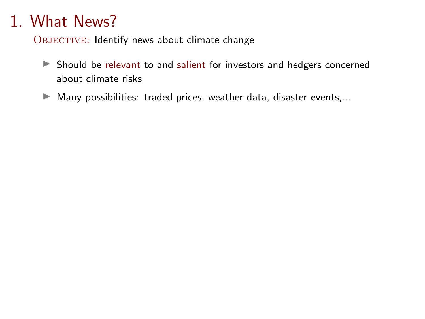OBJECTIVE: Identify news about climate change

- ▶ Should be relevant to and salient for investors and hedgers concerned about climate risks
- $\blacktriangleright$  Many possibilities: traded prices, weather data, disaster events,...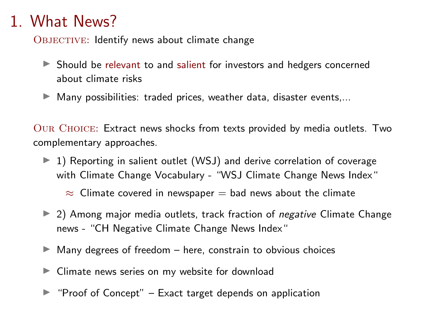OBJECTIVE: Identify news about climate change

- $\triangleright$  Should be relevant to and salient for investors and hedgers concerned about climate risks
- $\blacktriangleright$  Many possibilities: traded prices, weather data, disaster events,...

Our Choice: Extract news shocks from texts provided by media outlets. Two complementary approaches.

- $\blacktriangleright$  1) Reporting in salient outlet (WSJ) and derive correlation of coverage with Climate Change Vocabulary - "WSJ Climate Change News Index"
	- $\approx$  Climate covered in newspaper = bad news about the climate
- $\triangleright$  2) Among major media outlets, track fraction of *negative* Climate Change news - "CH Negative Climate Change News Index"
- $\blacktriangleright$  Many degrees of freedom here, constrain to obvious choices
- $\blacktriangleright$  Climate news series on my website for download
- $\blacktriangleright$  "Proof of Concept" Exact target depends on application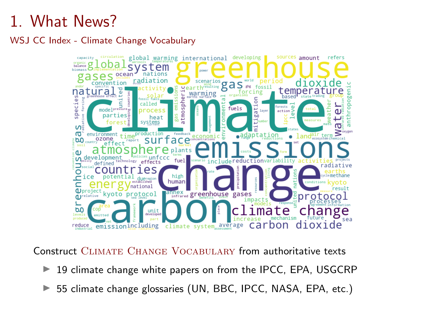WSJ CC Index - Climate Change Vocabulary



Construct Climate Change Vocabulary from authoritative texts

- $\blacktriangleright$  19 climate change white papers on from the IPCC, EPA, USGCRP
- $\triangleright$  55 climate change glossaries (UN, BBC, IPCC, NASA, EPA, etc.)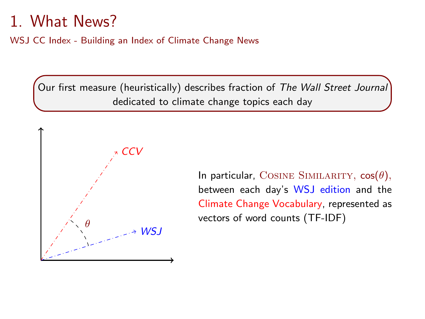WSJ CC Index - Building an Index of Climate Change News

Our first measure (heuristically) describes fraction of The Wall Street Journal dedicated to climate change topics each day



In particular, COSINE SIMILARITY,  $cos(\theta)$ , between each day's WSJ edition and the Climate Change Vocabulary, represented as vectors of word counts (TF-IDF)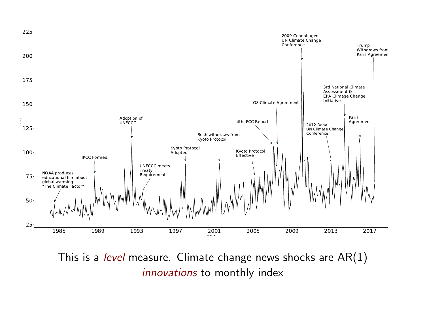

This is a level measure. Climate change news shocks are  $AR(1)$ innovations to monthly index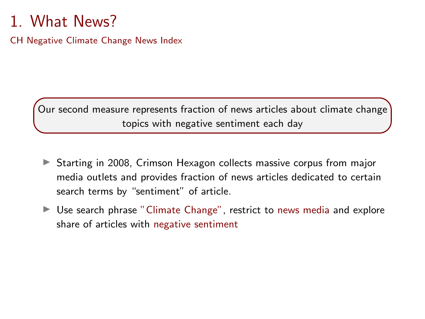CH Negative Climate Change News Index

Our second measure represents fraction of news articles about climate change topics with negative sentiment each day

- $\triangleright$  Starting in 2008, Crimson Hexagon collects massive corpus from major media outlets and provides fraction of news articles dedicated to certain search terms by "sentiment" of article.
- $\blacktriangleright$  Use search phrase "Climate Change", restrict to news media and explore share of articles with negative sentiment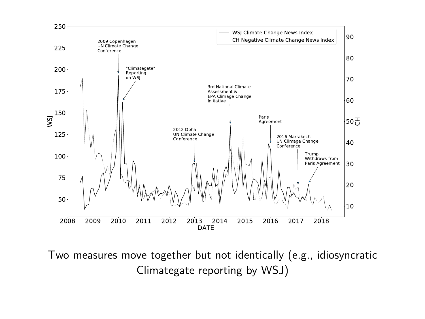

Two measures move together but not identically (e.g., idiosyncratic Climategate reporting by WSJ)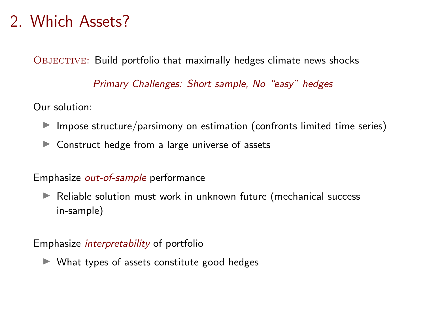#### 2. Which Assets?

OBJECTIVE: Build portfolio that maximally hedges climate news shocks

Primary Challenges: Short sample, No "easy" hedges

Our solution:

- $\blacktriangleright$  Impose structure/parsimony on estimation (confronts limited time series)
- $\blacktriangleright$  Construct hedge from a large universe of assets

#### Emphasize out-of-sample performance

 $\blacktriangleright$  Reliable solution must work in unknown future (mechanical success in-sample)

#### Emphasize interpretability of portfolio

 $\blacktriangleright$  What types of assets constitute good hedges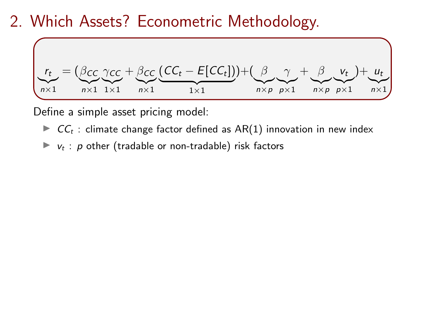#### 2. Which Assets? Econometric Methodology.



Define a simple asset pricing model:

- $\triangleright$   $CC_t$  : climate change factor defined as AR(1) innovation in new index
- $\blacktriangleright$   $v_t$ : p other (tradable or non-tradable) risk factors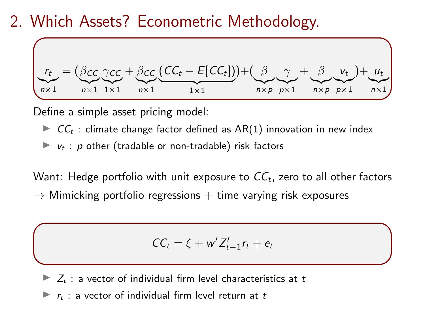#### 2. Which Assets? Econometric Methodology.



Define a simple asset pricing model:

- $\triangleright$  CC<sub>t</sub>: climate change factor defined as AR(1) innovation in new index
- $\blacktriangleright$   $v_t$  : p other (tradable or non-tradable) risk factors

Want: Hedge portfolio with unit exposure to  $\mathit{CC}_t$ , zero to all other factors  $\rightarrow$  Mimicking portfolio regressions  $+$  time varying risk exposures

$$
CC_t = \xi + w' Z'_{t-1} r_t + e_t
$$

 $\blacktriangleright$   $Z_t$  : a vector of individual firm level characteristics at t

 $\blacktriangleright$   $r_t$  : a vector of individual firm level return at t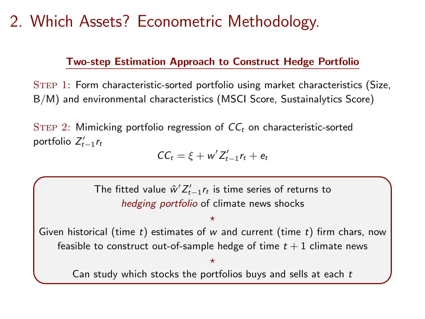# 2. Which Assets? Econometric Methodology.

#### Two-step Estimation Approach to Construct Hedge Portfolio

Step 1: Form characteristic-sorted portfolio using market characteristics (Size, B/M) and environmental characteristics (MSCI Score, Sustainalytics Score)

STEP 2: Mimicking portfolio regression of  $CC<sub>t</sub>$  on characteristic-sorted portfolio  $Z'_{t-1}$ r<sub>t</sub>

$$
CC_t = \xi + w' Z'_{t-1} r_t + e_t
$$

The fitted value  $\hat{w}' Z_{t-1}' r_t$  is time series of returns to hedging portfolio of climate news shocks

#### $\star$

Given historical (time t) estimates of w and current (time t) firm chars, now feasible to construct out-of-sample hedge of time  $t + 1$  climate news

#### $\star$

Can study which stocks the portfolios buys and sells at each  $t$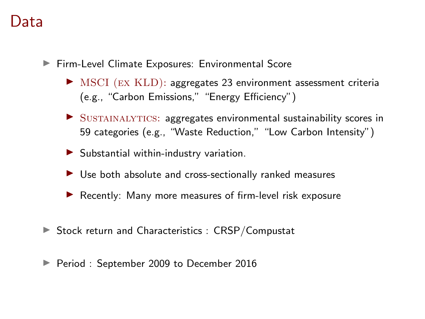#### Data

- ▶ Firm-Level Climate Exposures: Environmental Score
	- $\triangleright$  MSCI (EX KLD): aggregates 23 environment assessment criteria (e.g., "Carbon Emissions," "Energy Efficiency")
	- $\triangleright$  SUSTAINALYTICS: aggregates environmental sustainability scores in 59 categories (e.g., "Waste Reduction," "Low Carbon Intensity")
	- $\blacktriangleright$  Substantial within-industry variation.
	- $\triangleright$  Use both absolute and cross-sectionally ranked measures
	- $\blacktriangleright$  Recently: Many more measures of firm-level risk exposure
- $\triangleright$  Stock return and Characteristics : CRSP/Compustat
- Period : September 2009 to December 2016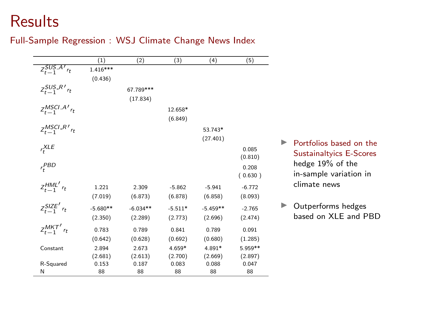#### Results

#### Full-Sample Regression : WSJ Climate Change News Index

|                                  | (1)        | (2)        | (3)       | (4)        | (5)      |
|----------------------------------|------------|------------|-----------|------------|----------|
| $Z_{t-1}$ SUS $A'$ <sub>rt</sub> | $1.416***$ |            |           |            |          |
|                                  | (0.436)    |            |           |            |          |
| $Z_{t-1}^{SUS-R}$ <sub>rt</sub>  |            | 67.789***  |           |            |          |
|                                  |            | (17.834)   |           |            |          |
| $Z_{t-1}^{MSCI-A'}$ rt           |            |            | 12.658*   |            |          |
|                                  |            |            | (6.849)   |            |          |
|                                  |            |            |           |            |          |
| $z_{t-1}^{MSCI.R'}$              |            |            |           | 53.743*    |          |
|                                  |            |            |           | (27.401)   |          |
| $r^{XLE}_*$                      |            |            |           |            | 0.085    |
|                                  |            |            |           |            | (0.810)  |
| $r_t^{PBD}$                      |            |            |           |            | 0.208    |
|                                  |            |            |           |            | (0.630)  |
| $z_{t-1}^{HML'}$ rt              | 1.221      | 2.309      | $-5.862$  | $-5.941$   | $-6.772$ |
|                                  | (7.019)    | (6.873)    | (6.878)   | (6.858)    | (8.093)  |
| $z_{t-1}^{SIZE'}$ r <sub>t</sub> | $-5.680**$ | $-6.034**$ | $-5.511*$ | $-5.459**$ | $-2.765$ |
|                                  | (2.350)    | (2.289)    | (2.773)   | (2.696)    | (2.474)  |
|                                  |            |            |           |            |          |
| $Z_{t-1}^{MKT'}$ $r_t$           | 0.783      | 0.789      | 0.841     | 0.789      | 0.091    |
|                                  | (0.642)    | (0.628)    | (0.692)   | (0.680)    | (1.285)  |
| Constant                         | 2.894      | 2.673      | 4.659*    | 4.891*     | 5.959**  |
|                                  | (2.681)    | (2.613)    | (2.700)   | (2.669)    | (2.897)  |
| R-Squared                        | 0.153      | 0.187      | 0.083     | 0.088      | 0.047    |
| N                                | 88         | 88         | 88        | 88         | 88       |

- $\blacktriangleright$  Portfolios based on the Sustainaltyics E-Scores hedge 19% of the in-sample variation in climate news
- $\blacktriangleright$  Outperforms hedges based on XLE and PBD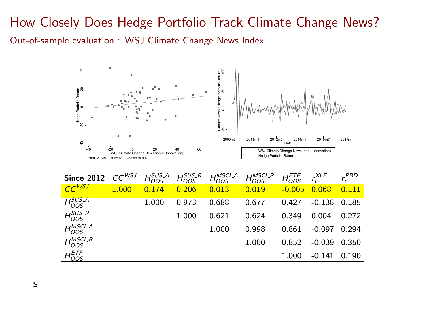#### How Closely Does Hedge Portfolio Track Climate Change News? Out-of-sample evaluation : WSJ Climate Change News Index